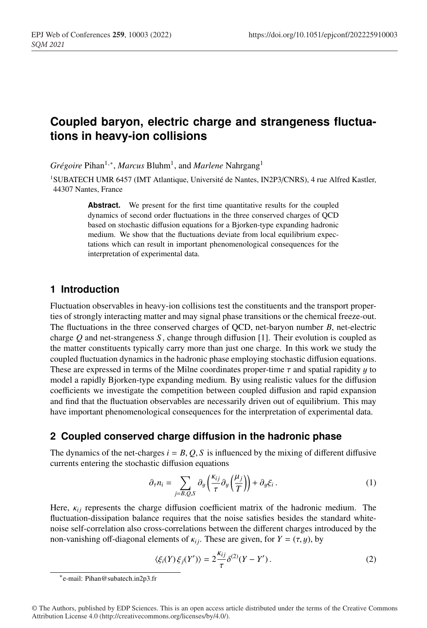# **Coupled baryon, electric charge and strangeness fluctuations in heavy-ion collisions**

*Grégoire* Pihan<sup>1,∗</sup>, *Marcus* Bluhm<sup>1</sup>, and *Marlene* Nahrgang<sup>1</sup>

<sup>1</sup>SUBATECH UMR 6457 (IMT Atlantique, Université de Nantes, IN2P3/CNRS), 4 rue Alfred Kastler, 44307 Nantes, France

> Abstract. We present for the first time quantitative results for the coupled dynamics of second order fluctuations in the three conserved charges of QCD based on stochastic diffusion equations for a Bjorken-type expanding hadronic medium. We show that the fluctuations deviate from local equilibrium expectations which can result in important phenomenological consequences for the interpretation of experimental data.

## **1 Introduction**

Fluctuation observables in heavy-ion collisions test the constituents and the transport properties of strongly interacting matter and may signal phase transitions or the chemical freeze-out. The fluctuations in the three conserved charges of QCD, net-baryon number *B*, net-electric charge *Q* and net-strangeness *S* , change through diffusion [1]. Their evolution is coupled as the matter constituents typically carry more than just one charge. In this work we study the coupled fluctuation dynamics in the hadronic phase employing stochastic diffusion equations. These are expressed in terms of the Milne coordinates proper-time  $\tau$  and spatial rapidity  $\gamma$  to model a rapidly Bjorken-type expanding medium. By using realistic values for the diffusion coefficients we investigate the competition between coupled diffusion and rapid expansion and find that the fluctuation observables are necessarily driven out of equilibrium. This may have important phenomenological consequences for the interpretation of experimental data.

# **2 Coupled conserved charge diffusion in the hadronic phase**

The dynamics of the net-charges  $i = B, Q, S$  is influenced by the mixing of different diffusive currents entering the stochastic diffusion equations

$$
\partial_{\tau} n_i = \sum_{j=B,Q,S} \partial_y \left( \frac{\kappa_{ij}}{\tau} \partial_y \left( \frac{\mu_j}{T} \right) \right) + \partial_y \xi_i \,. \tag{1}
$$

Here,  $\kappa_{ij}$  represents the charge diffusion coefficient matrix of the hadronic medium. The fluctuation-dissipation balance requires that the noise satisfies besides the standard whitenoise self-correlation also cross-correlations between the different charges introduced by the non-vanishing off-diagonal elements of  $\kappa_{ij}$ . These are given, for  $Y = (\tau, y)$ , by

$$
\langle \xi_i(Y)\,\xi_j(Y')\rangle = 2\frac{\kappa_{ij}}{\tau}\delta^{(2)}(Y-Y')\,. \tag{2}
$$

<sup>∗</sup>e-mail: Pihan@subatech.in2p3.fr

<sup>©</sup> The Authors, published by EDP Sciences. This is an open access article distributed under the terms of the Creative Commons Attribution License 4.0 (http://creativecommons.org/licenses/by/4.0/).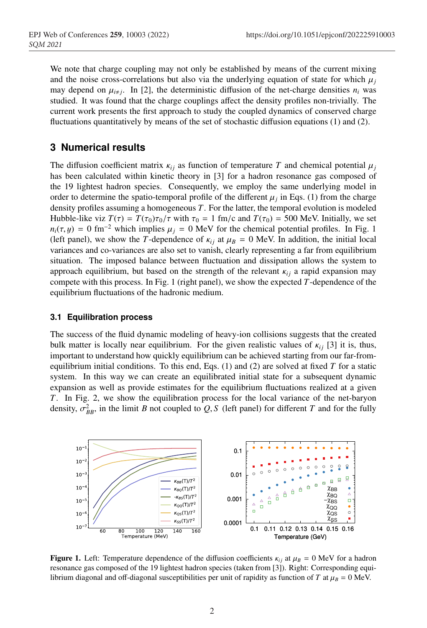We note that charge coupling may not only be established by means of the current mixing and the noise cross-correlations but also via the underlying equation of state for which  $\mu_i$ may depend on  $\mu_{i\neq j}$ . In [2], the deterministic diffusion of the net-charge densities  $n_i$  was studied. It was found that the charge couplings affect the density profiles non-trivially. The current work presents the first approach to study the coupled dynamics of conserved charge fluctuations quantitatively by means of the set of stochastic diffusion equations (1) and (2).

### **3 Numerical results**

The diffusion coefficient matrix  $\kappa_{ij}$  as function of temperature *T* and chemical potential  $\mu_i$ has been calculated within kinetic theory in [3] for a hadron resonance gas composed of the 19 lightest hadron species. Consequently, we employ the same underlying model in order to determine the spatio-temporal profile of the different  $\mu_j$  in Eqs. (1) from the charge density profiles assuming a homogeneous *T*. For the latter, the temporal evolution is modeled Hubble-like viz  $T(\tau) = T(\tau_0)\tau_0/\tau$  with  $\tau_0 = 1$  fm/c and  $T(\tau_0) = 500$  MeV. Initially, we set  $n_i(\tau, y) = 0$  fm<sup>-2</sup> which implies  $\mu_i = 0$  MeV for the chemical potential profiles. In Fig. 1 (left panel), we show the *T*-dependence of  $\kappa_{i,j}$  at  $\mu_B = 0$  MeV. In addition, the initial local variances and co-variances are also set to vanish, clearly representing a far from equilibrium situation. The imposed balance between fluctuation and dissipation allows the system to approach equilibrium, but based on the strength of the relevant  $\kappa_{ij}$  a rapid expansion may compete with this process. In Fig. 1 (right panel), we show the expected *T*-dependence of the equilibrium fluctuations of the hadronic medium.

#### **3.1 Equilibration process**

The success of the fluid dynamic modeling of heavy-ion collisions suggests that the created bulk matter is locally near equilibrium. For the given realistic values of  $\kappa_{i}$  [3] it is, thus, important to understand how quickly equilibrium can be achieved starting from our far-fromequilibrium initial conditions. To this end, Eqs. (1) and (2) are solved at fixed *T* for a static system. In this way we can create an equilibrated initial state for a subsequent dynamic expansion as well as provide estimates for the equilibrium fluctuations realized at a given *T*. In Fig. 2, we show the equilibration process for the local variance of the net-baryon density,  $\sigma_{BB}^2$ , in the limit *B* not coupled to *Q*, *S* (left panel) for different *T* and for the fully



**Figure 1.** Left: Temperature dependence of the diffusion coefficients  $\kappa_{ij}$  at  $\mu_B = 0$  MeV for a hadron resonance gas composed of the 19 lightest hadron species (taken from [3]). Right: Corresponding equilibrium diagonal and off-diagonal susceptibilities per unit of rapidity as function of *T* at  $\mu_B = 0$  MeV.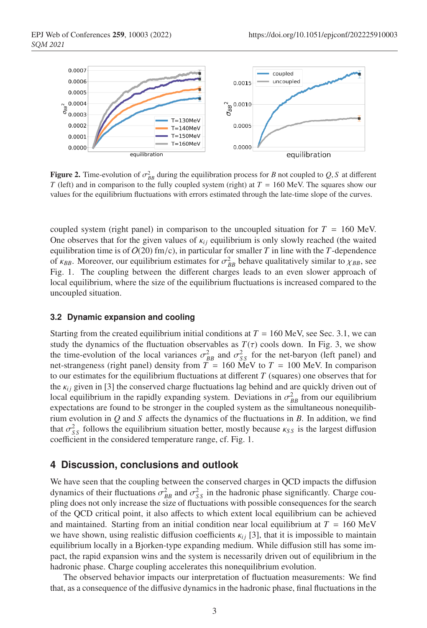

**Figure 2.** Time-evolution of  $\sigma_{BB}^2$  during the equilibration process for *B* not coupled to *Q*, *S* at different *T* (left) and in comparison to the fully coupled system (right) at *T* = 160 MeV. The squares show our values for the equilibrium fluctuations with errors estimated through the late-time slope of the curves.

coupled system (right panel) in comparison to the uncoupled situation for  $T = 160$  MeV. One observes that for the given values of  $\kappa_{ij}$  equilibrium is only slowly reached (the waited equilibration time is of  $O(20)$  fm/c), in particular for smaller *T* in line with the *T*-dependence of  $\kappa_{BB}$ . Moreover, our equilibrium estimates for  $\sigma_{BB}^2$  behave qualitatively similar to  $\chi_{BB}$ , see Fig. 1. The coupling between the different charges leads to an even slower approach of local equilibrium, where the size of the equilibrium fluctuations is increased compared to the uncoupled situation.

#### **3.2 Dynamic expansion and cooling**

Starting from the created equilibrium initial conditions at  $T = 160$  MeV, see Sec. 3.1, we can study the dynamics of the fluctuation observables as  $T(\tau)$  cools down. In Fig. 3, we show the time-evolution of the local variances  $\sigma_{BB}^2$  and  $\sigma_{SS}^2$  for the net-baryon (left panel) and net-strangeness (right panel) density from  $T = 160$  MeV to  $T = 100$  MeV. In comparison to our estimates for the equilibrium fluctuations at different  $T$  (squares) one observes that for the  $\kappa_{ij}$  given in [3] the conserved charge fluctuations lag behind and are quickly driven out of local equilibrium in the rapidly expanding system. Deviations in  $\sigma_{BB}^2$  from our equilibrium expectations are found to be stronger in the coupled system as the simultaneous nonequilibrium evolution in *Q* and *S* affects the dynamics of the fluctuations in *B*. In addition, we find that  $\sigma_{SS}^2$  follows the equilibrium situation better, mostly because  $\kappa_{SS}$  is the largest diffusion coefficient in the considered temperature range, cf. Fig. 1.

#### **4 Discussion, conclusions and outlook**

We have seen that the coupling between the conserved charges in QCD impacts the diffusion dynamics of their fluctuations  $\sigma_{BB}^2$  and  $\sigma_{SS}^2$  in the hadronic phase significantly. Charge coupling does not only increase the size of fluctuations with possible consequences for the search of the QCD critical point, it also affects to which extent local equilibrium can be achieved and maintained. Starting from an initial condition near local equilibrium at  $T = 160 \text{ MeV}$ we have shown, using realistic diffusion coefficients  $\kappa_{i}$  [3], that it is impossible to maintain equilibrium locally in a Bjorken-type expanding medium. While diffusion still has some impact, the rapid expansion wins and the system is necessarily driven out of equilibrium in the hadronic phase. Charge coupling accelerates this nonequilibrium evolution.

The observed behavior impacts our interpretation of fluctuation measurements: We find that, as a consequence of the diffusive dynamics in the hadronic phase, final fluctuations in the